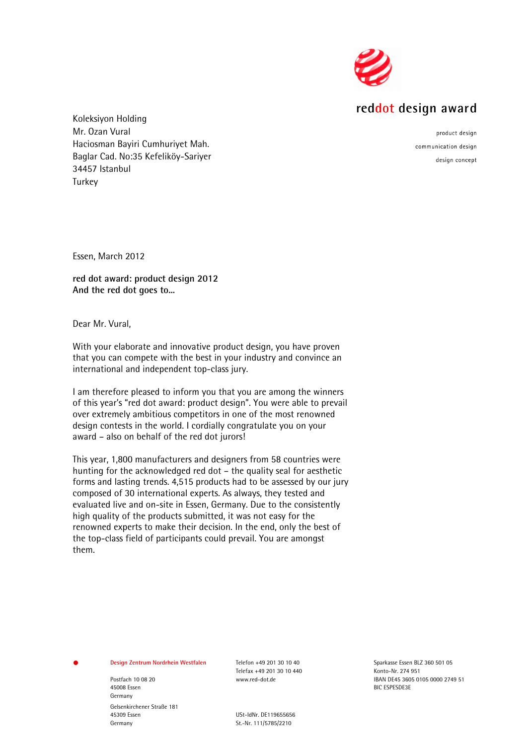

## reddot design award

Koleksiyon Holding Mr. Ozan Vural Haciosman Bayiri Cumhuriyet Mah. Baglar Cad. No:35 Kefeliköy-Sariyer 34457 Istanbul **Turkey** 

product design communication design design concept

Essen, March 2012

**red dot award: product design 2012 And the red dot goes to...**

Dear Mr. Vural,

With your elaborate and innovative product design, you have proven that you can compete with the best in your industry and convince an international and independent top-class jury.

I am therefore pleased to inform you that you are among the winners of this year's "red dot award: product design". You were able to prevail over extremely ambitious competitors in one of the most renowned design contests in the world. I cordially congratulate you on your award – also on behalf of the red dot jurors!

This year, 1,800 manufacturers and designers from 58 countries were hunting for the acknowledged red dot – the quality seal for aesthetic forms and lasting trends. 4,515 products had to be assessed by our jury composed of 30 international experts. As always, they tested and evaluated live and on-site in Essen, Germany. Due to the consistently high quality of the products submitted, it was not easy for the renowned experts to make their decision. In the end, only the best of the top-class field of participants could prevail. You are amongst them.

## **Design Zentrum Nordrhein Westfalen** Telefon +49 201 30 10 40 Sparkasse Essen BLZ 360 501 05

45008 Essen BIC ESPESDE3E Germany Gelsenkirchener Straße 181 45309 Essen USt-IdNr. DE119655656

Telefax +49 201 30 10 440 Konto-Nr. 274 951

St.-Nr. 111/5785/2210

Postfach 10 08 20 www.red-dot.de IBAN DE45 3605 0105 0000 2749 51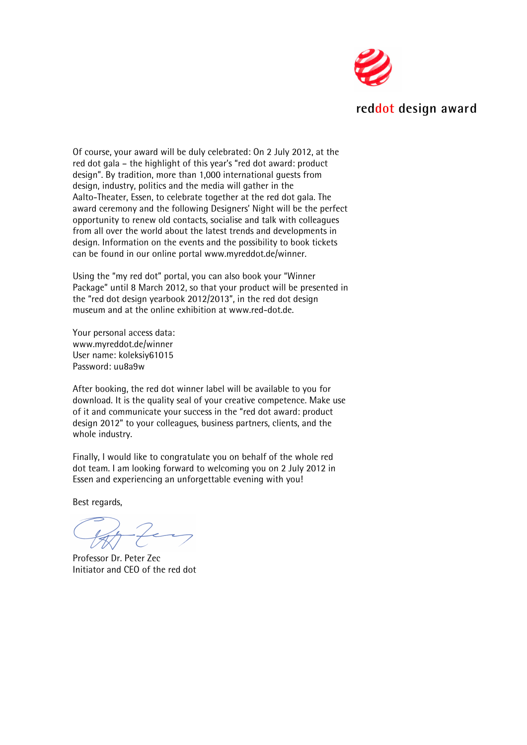

Of course, your award will be duly celebrated: On 2 July 2012, at the red dot gala – the highlight of this year's "red dot award: product design". By tradition, more than 1,000 international guests from design, industry, politics and the media will gather in the Aalto-Theater, Essen, to celebrate together at the red dot gala. The award ceremony and the following Designers' Night will be the perfect opportunity to renew old contacts, socialise and talk with colleagues from all over the world about the latest trends and developments in design. Information on the events and the possibility to book tickets can be found in our online portal www.myreddot.de/winner.

Using the "my red dot" portal, you can also book your "Winner Package" until 8 March 2012, so that your product will be presented in the "red dot design yearbook 2012/2013", in the red dot design museum and at the online exhibition at www.red-dot.de.

Your personal access data: www.myreddot.de/winner User name: koleksiy61015 Password: uu8a9w

After booking, the red dot winner label will be available to you for download. It is the quality seal of your creative competence. Make use of it and communicate your success in the "red dot award: product design 2012" to your colleagues, business partners, clients, and the whole industry.

Finally, I would like to congratulate you on behalf of the whole red dot team. I am looking forward to welcoming you on 2 July 2012 in Essen and experiencing an unforgettable evening with you!

Best regards,

Professor Dr. Peter Zec Initiator and CEO of the red dot